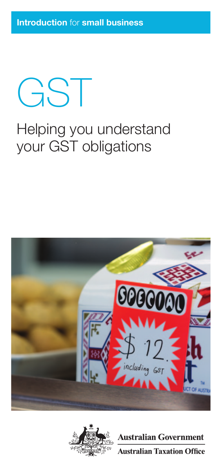GST

### Helping you understand your GST obligations





**Australian Government Australian Taxation Office**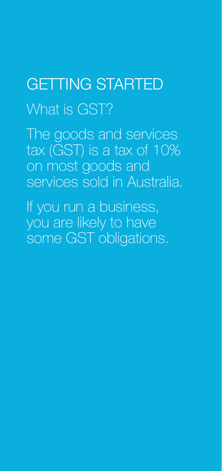# GETTING STARTED What is GST?

The goods and services tax (GST) is a tax of 10% on most goods and services sold in Australia.

If you run a business, you are likely to have some GST obligations.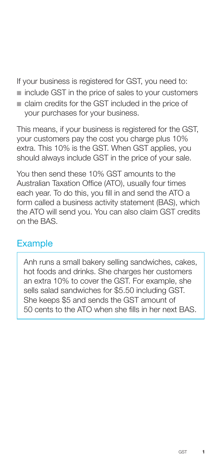If your business is registered for GST, you need to:

- $\blacksquare$  include GST in the price of sales to your customers
- n claim credits for the GST included in the price of your purchases for your business.

This means, if your business is registered for the GST, your customers pay the cost you charge plus 10% extra. This 10% is the GST. When GST applies, you should always include GST in the price of your sale.

You then send these 10% GST amounts to the Australian Taxation Office (ATO), usually four times each year. To do this, you fill in and send the ATO a form called a business activity statement (BAS), which the ATO will send you. You can also claim GST credits on the BAS.

#### **Example**

Anh runs a small bakery selling sandwiches, cakes, hot foods and drinks. She charges her customers an extra 10% to cover the GST. For example, she sells salad sandwiches for \$5.50 including GST. She keeps \$5 and sends the GST amount of 50 cents to the ATO when she fills in her next BAS.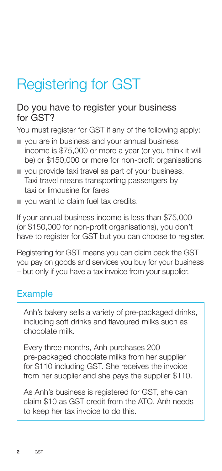## Registering for GST

#### Do you have to register your business for GST?

You must register for GST if any of the following apply:

- n you are in business and your annual business income is \$75,000 or more a year (or you think it will be) or \$150,000 or more for non-profit organisations
- vou provide taxi travel as part of your business. Taxi travel means transporting passengers by taxi or limousine for fares
- vou want to claim fuel tax credits.

If your annual business income is less than \$75,000 (or \$150,000 for non-profit organisations), you don't have to register for GST but you can choose to register.

Registering for GST means you can claim back the GST you pay on goods and services you buy for your business – but only if you have a tax invoice from your supplier.

#### **Example**

Anh's bakery sells a variety of pre-packaged drinks, including soft drinks and flavoured milks such as chocolate milk.

Every three months, Anh purchases 200 pre‑packaged chocolate milks from her supplier for \$110 including GST. She receives the invoice from her supplier and she pays the supplier \$110.

As Anh's business is registered for GST, she can claim \$10 as GST credit from the ATO. Anh needs to keep her tax invoice to do this.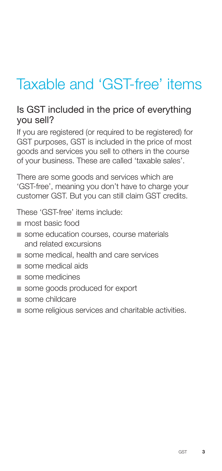### Taxable and 'GST-free' items

#### Is GST included in the price of everything you sell?

If you are registered (or required to be registered) for GST purposes, GST is included in the price of most goods and services you sell to others in the course of your business. These are called 'taxable sales'.

There are some goods and services which are 'GST‑free', meaning you don't have to charge your customer GST. But you can still claim GST credits.

These 'GST-free' items include:

- most basic food
- some education courses, course materials and related excursions
- some medical, health and care services
- some medical aids
- $n$  some medicines
- some goods produced for export
- some childcare
- some religious services and charitable activities.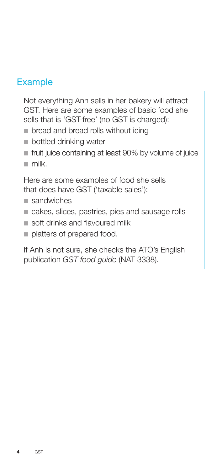#### **Example**

Not everything Anh sells in her bakery will attract GST. Here are some examples of basic food she sells that is 'GST-free' (no GST is charged):

- $\blacksquare$  bread and bread rolls without icing
- **n** bottled drinking water
- $\blacksquare$  fruit juice containing at least 90% by volume of juice
- $m$ ilk

Here are some examples of food she sells that does have GST ('taxable sales'):

- $s$ andwiches
- cakes, slices, pastries, pies and sausage rolls
- soft drinks and flavoured milk
- $\blacksquare$  platters of prepared food.

If Anh is not sure, she checks the ATO's English publication *GST food guide* (NAT 3338).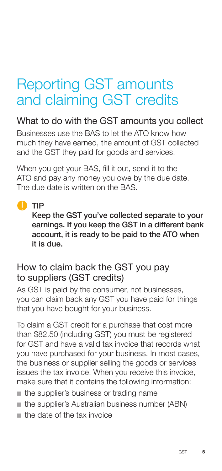### Reporting GST amounts and claiming GST credits

### What to do with the GST amounts you collect

Businesses use the BAS to let the ATO know how much they have earned, the amount of GST collected and the GST they paid for goods and services.

When you get your BAS, fill it out, send it to the ATO and pay any money you owe by the due date. The due date is written on the BAS.

#### **O** TIP

Keep the GST you've collected separate to your earnings. If you keep the GST in a different bank account, it is ready to be paid to the ATO when it is due.

#### How to claim back the GST you pay to suppliers (GST credits)

As GST is paid by the consumer, not businesses, you can claim back any GST you have paid for things that you have bought for your business.

To claim a GST credit for a purchase that cost more than \$82.50 (including GST) you must be registered for GST and have a valid tax invoice that records what you have purchased for your business. In most cases, the business or supplier selling the goods or services issues the tax invoice. When you receive this invoice, make sure that it contains the following information:

- $\blacksquare$  the supplier's business or trading name
- $\blacksquare$  the supplier's Australian business number (ABN)
- $\blacksquare$  the date of the tax invoice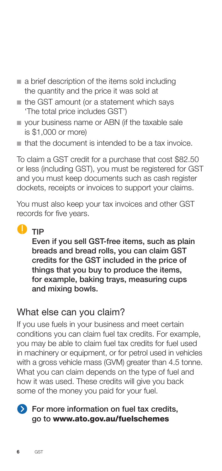- n a brief description of the items sold including the quantity and the price it was sold at
- $n$  the GST amount (or a statement which says 'The total price includes GST')
- **n** your business name or ABN (if the taxable sale is \$1,000 or more)
- n that the document is intended to be a tax invoice.

To claim a GST credit for a purchase that cost \$82.50 or less (including GST), you must be registered for GST and you must keep documents such as cash register dockets, receipts or invoices to support your claims.

You must also keep your tax invoices and other GST records for five years.

### $\bullet$  TIP

Even if you sell GST-free items, such as plain breads and bread rolls, you can claim GST credits for the GST included in the price of things that you buy to produce the items, for example, baking trays, measuring cups and mixing bowls.

#### What else can you claim?

If you use fuels in your business and meet certain conditions you can claim fuel tax credits. For example, you may be able to claim fuel tax credits for fuel used in machinery or equipment, or for petrol used in vehicles with a gross vehicle mass (GVM) greater than 4.5 tonne. What you can claim depends on the type of fuel and how it was used. These credits will give you back some of the money you paid for your fuel.



#### **S** For more information on fuel tax credits, go to www.ato.gov.au/fuelschemes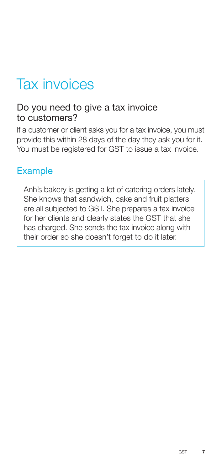### Tax invoices

#### Do you need to give a tax invoice to customers?

If a customer or client asks you for a tax invoice, you must provide this within 28 days of the day they ask you for it. You must be registered for GST to issue a tax invoice.

#### **Example**

Anh's bakery is getting a lot of catering orders lately. She knows that sandwich, cake and fruit platters are all subjected to GST. She prepares a tax invoice for her clients and clearly states the GST that she has charged. She sends the tax invoice along with their order so she doesn't forget to do it later.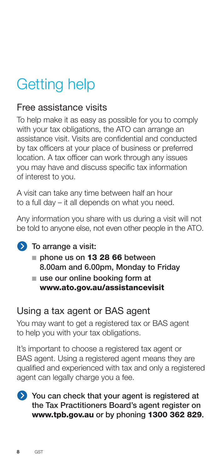## Getting help

### Free assistance visits

To help make it as easy as possible for you to comply with your tax obligations, the ATO can arrange an assistance visit. Visits are confidential and conducted by tax officers at your place of business or preferred location. A tax officer can work through any issues you may have and discuss specific tax information of interest to you.

A visit can take any time between half an hour to a full day – it all depends on what you need.

Any information you share with us during a visit will not be told to anyone else, not even other people in the ATO.

#### **D** To arrange a visit:

- phone us on 13 28 66 between 8.00am and 6.00pm, Monday to Friday
- $\blacksquare$  use our online booking form at www.ato.gov.au/assistancevisit

#### Using a tax agent or BAS agent

You may want to get a registered tax or BAS agent to help you with your tax obligations.

It's important to choose a registered tax agent or BAS agent. Using a registered agent means they are qualified and experienced with tax and only a registered agent can legally charge you a fee.

You can check that your agent is registered at the Tax Practitioners Board's agent register on www.tpb.gov.au or by phoning 1300 362 829.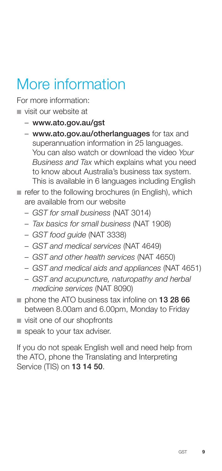### More information

For more information:

- n visit our website at
	- www.ato.gov.au/gst
	- www.ato.gov.au/otherlanguages for tax and superannuation information in 25 languages. You can also watch or download the video *Your Business and Tax* which explains what you need to know about Australia's business tax system. This is available in 6 languages including English
- $\blacksquare$  refer to the following brochures (in English), which are available from our website
	- *GST for small business* (NAT 3014)
	- *Tax basics for small business* (NAT 1908)
	- *GST food guide* (NAT 3338)
	- *GST and medical services* (NAT 4649)
	- *GST and other health services* (NAT 4650)
	- *GST and medical aids and appliances* (NAT 4651)
	- *GST and acupuncture, naturopathy and herbal medicine services* (NAT 8090)
- $\blacksquare$  phone the ATO business tax infoline on 13 28 66 between 8.00am and 6.00pm, Monday to Friday
- $\blacksquare$  visit one of our shopfronts
- speak to your tax adviser.

If you do not speak English well and need help from the ATO, phone the Translating and Interpreting Service (TIS) on 13 14 50.